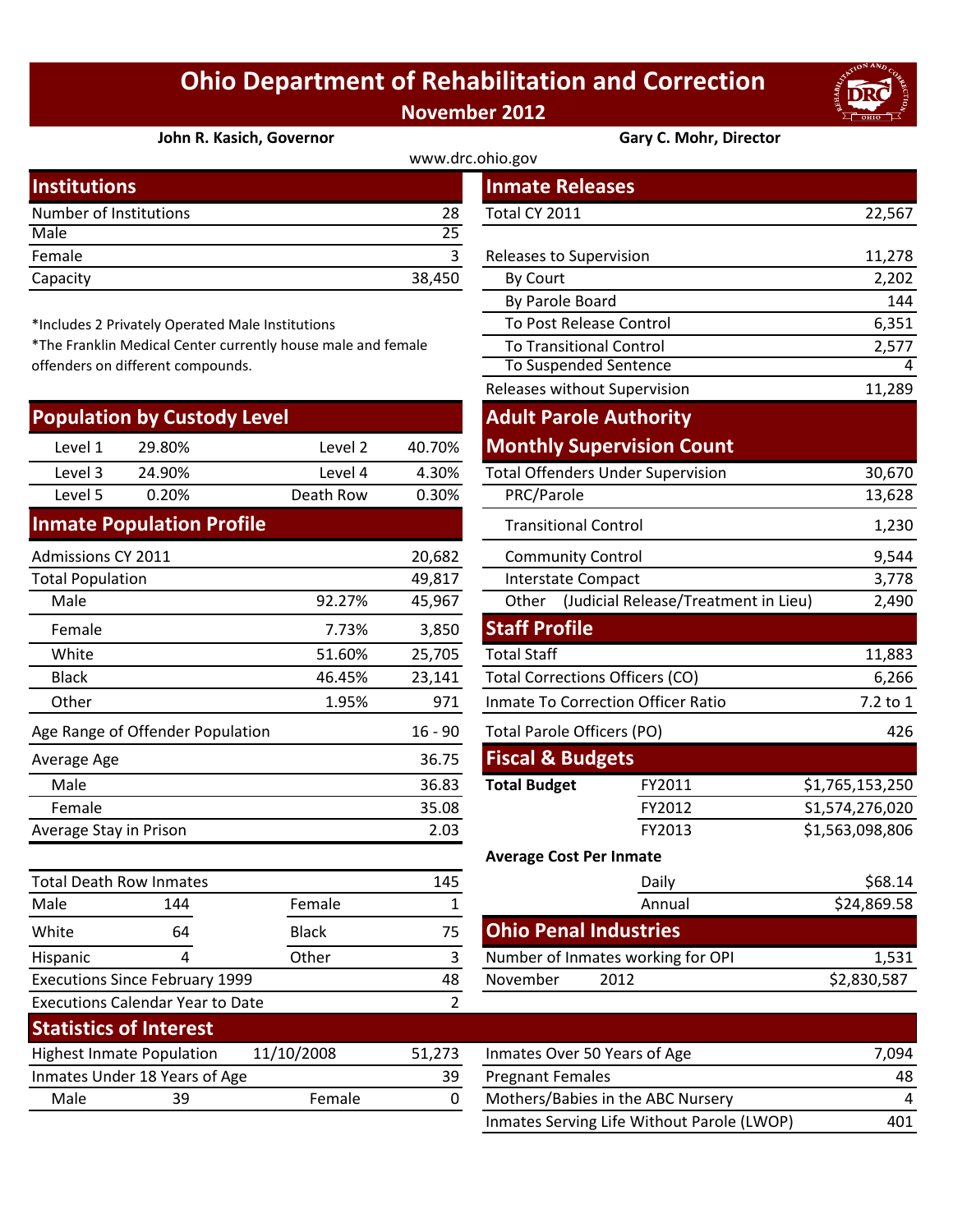## **Ohio Department of Rehabilitation and Correction November 2012**



## **[John R. Kasich, Governor](http://www.drc.ohio.gov/) Gary C. Mohr, Director**

## www.drc.ohi

| <b>Institutions</b>    |        | <b>Inmate Releases</b>  |        |
|------------------------|--------|-------------------------|--------|
| Number of Institutions | 28     | Total CY 2011           | 22,567 |
| Male                   | 25     |                         |        |
| Female                 |        | Releases to Supervision | 11,278 |
| Capacity               | 38,450 | By Court                | 2,202  |
|                        |        |                         |        |

\*Includes 2 Privately Operated Male Institutions

\*The Franklin Medical Center currently house male and female offenders on different compounds.

| <b>Population by Custody Level</b>            |                                  |                                   |        | <b>Adult Parole Authority</b>             |                                            |                 |
|-----------------------------------------------|----------------------------------|-----------------------------------|--------|-------------------------------------------|--------------------------------------------|-----------------|
| Level 1                                       | 29.80%                           | Level 2                           | 40.70% |                                           | <b>Monthly Supervision Count</b>           |                 |
| Level 3                                       | 24.90%                           | Level 4                           | 4.30%  |                                           | <b>Total Offenders Under Supervision</b>   | 30,670          |
| Level 5                                       | 0.20%                            | Death Row                         | 0.30%  | PRC/Parole                                |                                            | 13,628          |
|                                               | <b>Inmate Population Profile</b> |                                   |        | <b>Transitional Control</b>               |                                            | 1,230           |
| Admissions CY 2011                            |                                  |                                   | 20,682 | <b>Community Control</b>                  |                                            | 9,544           |
| <b>Total Population</b>                       |                                  |                                   | 49,817 | Interstate Compact                        |                                            | 3,778           |
| Male                                          |                                  | 92.27%                            | 45,967 |                                           | Other (Judicial Release/Treatment in Lieu) | 2,490           |
| Female                                        |                                  | 7.73%                             | 3,850  | <b>Staff Profile</b>                      |                                            |                 |
| White                                         |                                  | 51.60%                            | 25,705 | <b>Total Staff</b>                        |                                            | 11,883          |
| <b>Black</b>                                  |                                  | 46.45%                            | 23,141 | <b>Total Corrections Officers (CO)</b>    |                                            | 6,266           |
| Other                                         |                                  | 1.95%                             | 971    | <b>Inmate To Correction Officer Ratio</b> |                                            | 7.2 to 1        |
| Age Range of Offender Population<br>$16 - 90$ |                                  | <b>Total Parole Officers (PO)</b> |        | 426                                       |                                            |                 |
| Average Age                                   |                                  |                                   | 36.75  | <b>Fiscal &amp; Budgets</b>               |                                            |                 |
| Male                                          |                                  |                                   | 36.83  | <b>Total Budget</b>                       | FY2011                                     | \$1,765,153,250 |
| Female                                        |                                  |                                   | 35.08  |                                           | FY2012                                     | S1,574,276,020  |
| 2.03<br>Average Stay in Prison                |                                  |                                   | FY2013 | \$1,563,098,806                           |                                            |                 |
|                                               |                                  |                                   |        | <b>Average Cost Per Inmate</b>            |                                            |                 |
| <b>Total Death Row Inmates</b>                |                                  | 145                               |        | Daily                                     | \$68.14                                    |                 |
| Male                                          | 144                              | Female                            | 1      |                                           | Annual                                     | \$24,869.58     |
| White                                         | 64                               | <b>Black</b>                      | 75     | <b>Ohio Penal Industries</b>              |                                            |                 |
| <b>Hispanic</b>                               | 4                                | Other                             | 3      |                                           | Number of Inmates working for OPI          | 1,531           |

Executions Since February 1999

**Statistics of Interest**

Executions Calendar Year to Date

|                             |                                                  |                                                           |              | www.urc.omo.gov                        |                                            |                 |
|-----------------------------|--------------------------------------------------|-----------------------------------------------------------|--------------|----------------------------------------|--------------------------------------------|-----------------|
| stitutions                  |                                                  |                                                           |              | <b>Inmate Releases</b>                 |                                            |                 |
| mber of Institutions        |                                                  |                                                           | 28           | Total CY 2011                          |                                            | 22,567          |
| le                          |                                                  |                                                           | 25           |                                        |                                            |                 |
| nale                        |                                                  |                                                           | 3            | Releases to Supervision                |                                            | 11,278          |
| acity                       |                                                  |                                                           | 38,450       | <b>By Court</b>                        |                                            | 2,202           |
|                             |                                                  |                                                           |              | By Parole Board                        |                                            | 144             |
|                             | cludes 2 Privately Operated Male Institutions    |                                                           |              | To Post Release Control                |                                            | 6,351           |
|                             |                                                  | e Franklin Medical Center currently house male and female |              | <b>To Transitional Control</b>         |                                            | 2,577           |
|                             | nders on different compounds.                    |                                                           |              | To Suspended Sentence                  |                                            | 4               |
|                             |                                                  |                                                           |              | Releases without Supervision           |                                            | 11,289          |
|                             | pulation by Custody Level                        |                                                           |              | <b>Adult Parole Authority</b>          |                                            |                 |
| Level 1                     | 29.80%                                           | Level 2                                                   | 40.70%       |                                        | <b>Monthly Supervision Count</b>           |                 |
| Level 3                     | 24.90%                                           | Level 4                                                   | 4.30%        |                                        | <b>Total Offenders Under Supervision</b>   | 30,670          |
| Level 5                     | 0.20%                                            | Death Row                                                 | 0.30%        | PRC/Parole                             |                                            | 13,628          |
|                             | nate Population Profile                          |                                                           |              | <b>Transitional Control</b>            |                                            | 1,230           |
| missions CY 2011            |                                                  |                                                           | 20,682       | <b>Community Control</b>               |                                            | 9,544           |
| al Population               |                                                  |                                                           | 49,817       | Interstate Compact                     |                                            | 3,778           |
| Male                        |                                                  | 92.27%                                                    | 45,967       |                                        | Other (Judicial Release/Treatment in Lieu) | 2,490           |
| Female                      |                                                  | 7.73%                                                     | 3,850        | <b>Staff Profile</b>                   |                                            |                 |
| White                       |                                                  | 51.60%                                                    | 25,705       | <b>Total Staff</b>                     |                                            | 11,883          |
| <b>Black</b>                |                                                  | 46.45%                                                    | 23,141       | <b>Total Corrections Officers (CO)</b> |                                            | 6,266           |
| <b>Other</b>                |                                                  | 1.95%                                                     | 971          | Inmate To Correction Officer Ratio     | 7.2 to 1                                   |                 |
|                             | <b>Range of Offender Population</b><br>$16 - 90$ |                                                           |              | Total Parole Officers (PO)             |                                            | 426             |
| erage Age                   |                                                  |                                                           | 36.75        | <b>Fiscal &amp; Budgets</b>            |                                            |                 |
| Male                        |                                                  |                                                           | 36.83        | <b>Total Budget</b>                    | FY2011                                     | \$1,765,153,250 |
| Female                      |                                                  |                                                           | 35.08        |                                        | FY2012                                     | S1,574,276,020  |
| erage Stay in Prison        |                                                  |                                                           | 2.03         |                                        | FY2013                                     | \$1,563,098,806 |
|                             |                                                  |                                                           |              | <b>Average Cost Per Inmate</b>         |                                            |                 |
| al Death Row Inmates<br>145 |                                                  |                                                           |              | Daily                                  | \$68.14                                    |                 |
| le                          | 144                                              | Female                                                    | $\mathbf{1}$ |                                        | Annual                                     | \$24,869.58     |
| ite                         | 64                                               | <b>Black</b>                                              | 75           | <b>Ohio Penal Industries</b>           |                                            |                 |
| panic                       | 4                                                | Other                                                     | 3            |                                        | Number of Inmates working for OPI          | 1,531           |
|                             | cutions Since February 1999                      |                                                           | 48           | November                               | 2012                                       | \$2,830,587     |
|                             | cutions Calendar Year to Date                    |                                                           | 2            |                                        |                                            |                 |
|                             | atistics of Interest                             |                                                           |              |                                        |                                            |                 |

| <b>Practured Of Hitchcoc</b>     |                               |                      |     |                                            |       |
|----------------------------------|-------------------------------|----------------------|-----|--------------------------------------------|-------|
| <b>Highest Inmate Population</b> |                               | 11/10/2008<br>51.273 |     | Inmates Over 50 Years of Age               | 7.094 |
|                                  | Inmates Under 18 Years of Age |                      | -39 | <b>Pregnant Females</b>                    | 48    |
| Male<br>39                       |                               | Female               |     | Mothers/Babies in the ABC Nursery          |       |
|                                  |                               |                      |     | Inmates Serving Life Without Parole (LWOP) | 401   |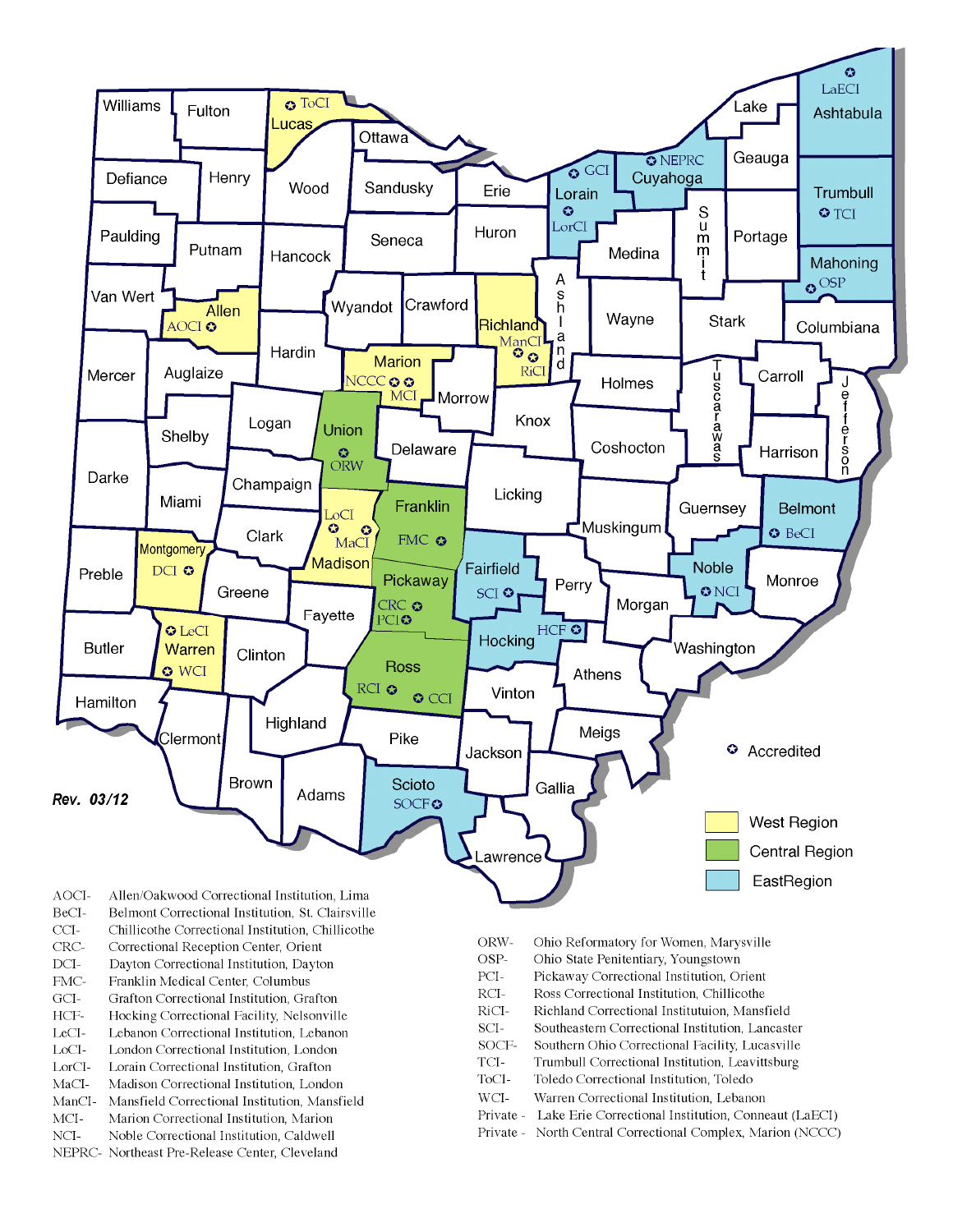

- BeCI-Belmont Correctional Institution, St. Clairsville
- $CCI-$ Chillicothe Correctional Institution, Chillicothe
- Correctional Reception Center, Orient CRC-
- $DCI-$ Dayton Correctional Institution, Dayton
- FMC-Franklin Medical Center, Columbus
- $\rm{GCI}\mbox{-}$ Grafton Correctional Institution, Grafton
- HCF-Hocking Correctional Facility, Nelsonville
- LeCI-Lebanon Correctional Institution, Lebanon
- LoCI-London Correctional Institution. London
- $\operatorname{LorCl-}$ Lorain Correctional Institution, Grafton
- $MaCI-$ Madison Correctional Institution, London
- ManCI-Mansfield Correctional Institution, Mansfield MCI-Marion Correctional Institution, Marion
- Noble Correctional Institution, Caldwell
- NCI-NEPRC- Northeast Pre-Release Center, Cleveland
- ORW-Ohio Reformatory for Women, Marysville
- OSP-Ohio State Penitentiary, Youngstown
- PCI-Pickaway Correctional Institution, Orient
- $\rm RCI-$ Ross Correctional Institution, Chillicothe
- RiCI-Richland Correctional Institutuion, Mansfield
- SCI-Southeastern Correctional Institution, Lancaster
- SOCF-Southern Ohio Correctional Facility, Lucasville
- TCI-Trumbull Correctional Institution, Leavittsburg
- ToCI-Toledo Correctional Institution, Toledo
- $WCI-$ Warren Correctional Institution, Lebanon
- Private Lake Erie Correctional Institution, Conneaut (LaECI)
- Private North Central Correctional Complex, Marion (NCCC)